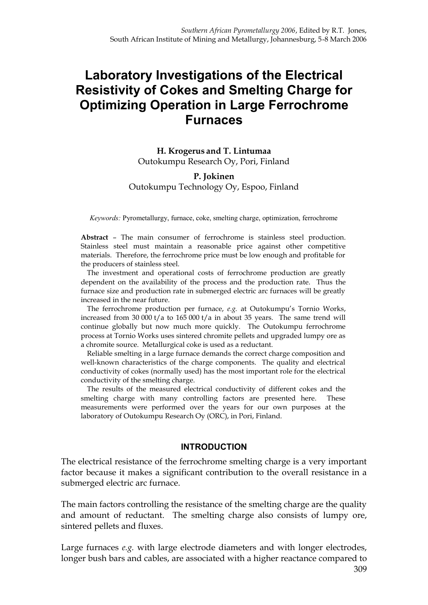# **Laboratory Investigations of the Electrical Resistivity of Cokes and Smelting Charge for Optimizing Operation in Large Ferrochrome Furnaces**

**H. Krogerus and T. Lintumaa** Outokumpu Research Oy, Pori, Finland

#### **P. Jokinen** Outokumpu Technology Oy, Espoo, Finland

*Keywords:* Pyrometallurgy, furnace, coke, smelting charge, optimization, ferrochrome

**Abstract** – The main consumer of ferrochrome is stainless steel production. Stainless steel must maintain a reasonable price against other competitive materials. Therefore, the ferrochrome price must be low enough and profitable for the producers of stainless steel.

The investment and operational costs of ferrochrome production are greatly dependent on the availability of the process and the production rate. Thus the furnace size and production rate in submerged electric arc furnaces will be greatly increased in the near future.

The ferrochrome production per furnace, *e.g.* at Outokumpu's Tornio Works, increased from 30 000 t/a to 165 000 t/a in about 35 years. The same trend will continue globally but now much more quickly. The Outokumpu ferrochrome process at Tornio Works uses sintered chromite pellets and upgraded lumpy ore as a chromite source. Metallurgical coke is used as a reductant.

Reliable smelting in a large furnace demands the correct charge composition and well-known characteristics of the charge components. The quality and electrical conductivity of cokes (normally used) has the most important role for the electrical conductivity of the smelting charge.

The results of the measured electrical conductivity of different cokes and the smelting charge with many controlling factors are presented here. These measurements were performed over the years for our own purposes at the laboratory of Outokumpu Research Oy (ORC), in Pori, Finland.

#### **INTRODUCTION**

The electrical resistance of the ferrochrome smelting charge is a very important factor because it makes a significant contribution to the overall resistance in a submerged electric arc furnace.

The main factors controlling the resistance of the smelting charge are the quality and amount of reductant. The smelting charge also consists of lumpy ore, sintered pellets and fluxes.

Large furnaces *e.g.* with large electrode diameters and with longer electrodes, longer bush bars and cables, are associated with a higher reactance compared to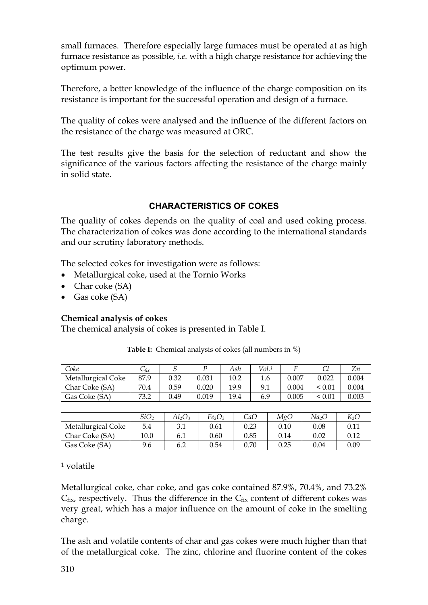small furnaces. Therefore especially large furnaces must be operated at as high furnace resistance as possible, *i.e.* with a high charge resistance for achieving the optimum power.

Therefore, a better knowledge of the influence of the charge composition on its resistance is important for the successful operation and design of a furnace.

The quality of cokes were analysed and the influence of the different factors on the resistance of the charge was measured at ORC.

The test results give the basis for the selection of reductant and show the significance of the various factors affecting the resistance of the charge mainly in solid state.

# **CHARACTERISTICS OF COKES**

The quality of cokes depends on the quality of coal and used coking process. The characterization of cokes was done according to the international standards and our scrutiny laboratory methods.

The selected cokes for investigation were as follows:

- · Metallurgical coke, used at the Tornio Works
- Char coke (SA)
- Gas coke (SA)

## **Chemical analysis of cokes**

The chemical analysis of cokes is presented in Table I.

| Coke               | $\cup$ fix |      |       | Ash  | Vol.1 |       |        | Lπ    |
|--------------------|------------|------|-------|------|-------|-------|--------|-------|
| Metallurgical Coke | 87.9       | 0.32 | 0.031 | 10.2 | 1.6   | 0.007 | 0.022  | 0.004 |
| Char Coke (SA)     | 70.4       | 0.59 | 0.020 | 19.9 | 9.1   | 0.004 | < 0.01 | 0.004 |
| Gas Coke (SA)      | 73.2       | 0.49 | 0.019 | 19.4 | 6.9   | 0.005 | < 0.01 | 0.003 |

**Table I:** Chemical analysis of cokes (all numbers in %)

|                    | SiO <sub>2</sub> | $Al_2O_3$ | Fe2O3 | CaO  | MgC  | Na2O     | $K_2O$ |
|--------------------|------------------|-----------|-------|------|------|----------|--------|
| Metallurgical Coke | 5.4              | 3.1       | 0.61  | 0.23 | 0.10 | $0.08\,$ | 0.11   |
| Char Coke (SA)     | 10.0             | 6.1       | 0.60  | 0.85 | 0.14 | 0.02     | 0.12   |
| Gas Coke (SA)      | 9.6              | 6.2       | 0.54  | 0.70 | 0.25 | $0.04\,$ | 0.09   |

<sup>1</sup> volatile

Metallurgical coke, char coke, and gas coke contained 87.9%, 70.4%, and 73.2%  $C_{fix}$  respectively. Thus the difference in the  $C_{fix}$  content of different cokes was very great, which has a major influence on the amount of coke in the smelting charge.

The ash and volatile contents of char and gas cokes were much higher than that of the metallurgical coke. The zinc, chlorine and fluorine content of the cokes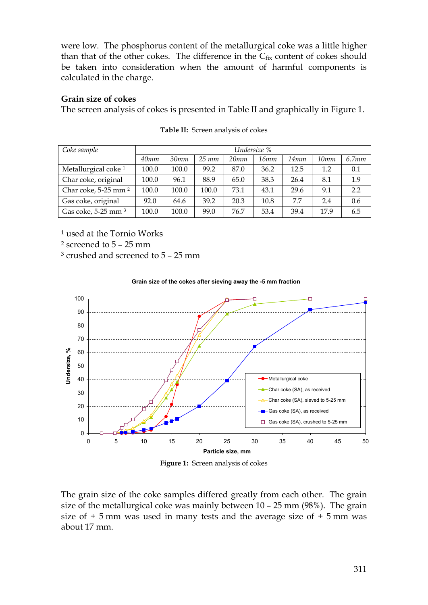were low. The phosphorus content of the metallurgical coke was a little higher than that of the other cokes. The difference in the  $C_{fix}$  content of cokes should be taken into consideration when the amount of harmful components is calculated in the charge.

#### **Grain size of cokes**

The screen analysis of cokes is presented in Table II and graphically in Figure 1.

| Coke sample                     |       | Undersize % |            |      |      |      |      |       |  |
|---------------------------------|-------|-------------|------------|------|------|------|------|-------|--|
|                                 | 40mm  | 30mm        | $25 \; mm$ | 20mm | 16mm | 14mm | 10mm | 6.7mm |  |
| Metallurgical coke <sup>1</sup> | 100.0 | 100.0       | 99.2       | 87.0 | 36.2 | 12.5 | 1.2  | 0.1   |  |
| Char coke, original             | 100.0 | 96.1        | 88.9       | 65.0 | 38.3 | 26.4 | 8.1  | 1.9   |  |
| Char coke, 5-25 mm <sup>2</sup> | 100.0 | 100.0       | 100.0      | 73.1 | 43.1 | 29.6 | 9.1  | 2.2   |  |
| Gas coke, original              | 92.0  | 64.6        | 39.2       | 20.3 | 10.8 | 7.7  | 2.4  | 0.6   |  |
| Gas coke, 5-25 mm <sup>3</sup>  | 100.0 | 100.0       | 99.0       | 76.7 | 53.4 | 39.4 | 17.9 | 6.5   |  |

| Table II: Screen analysis of cokes |
|------------------------------------|
|                                    |

<sup>1</sup> used at the Tornio Works

<sup>2</sup> screened to 5 – 25 mm

<sup>3</sup> crushed and screened to 5 – 25 mm



#### **Grain size of the cokes after sieving away the -5 mm fraction**

**Figure 1:** Screen analysis of cokes

The grain size of the coke samples differed greatly from each other. The grain size of the metallurgical coke was mainly between 10 – 25 mm (98%). The grain size of  $+5$  mm was used in many tests and the average size of  $+5$  mm was about 17 mm.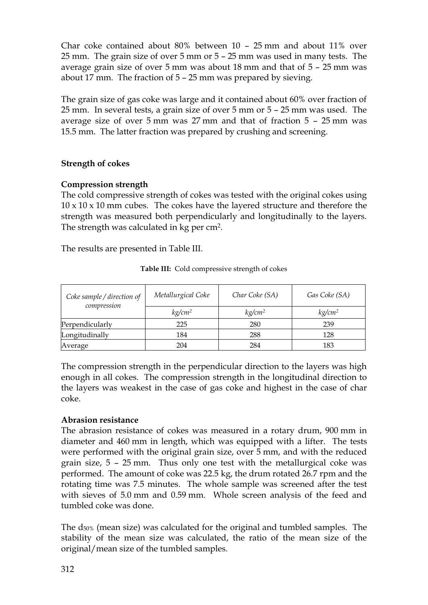Char coke contained about 80% between 10 – 25 mm and about 11% over 25 mm. The grain size of over 5 mm or 5 – 25 mm was used in many tests. The average grain size of over 5 mm was about 18 mm and that of 5 – 25 mm was about 17 mm. The fraction of 5 – 25 mm was prepared by sieving.

The grain size of gas coke was large and it contained about 60% over fraction of 25 mm. In several tests, a grain size of over 5 mm or 5 – 25 mm was used. The average size of over 5 mm was 27 mm and that of fraction 5 – 25 mm was 15.5 mm. The latter fraction was prepared by crushing and screening.

## **Strength of cokes**

## **Compression strength**

The cold compressive strength of cokes was tested with the original cokes using 10 x 10 x 10 mm cubes. The cokes have the layered structure and therefore the strength was measured both perpendicularly and longitudinally to the layers. The strength was calculated in kg per cm<sup>2</sup>.

The results are presented in Table III.

| Coke sample / direction of<br>compression | Metallurgical Coke | Char Coke (SA)     | Gas Coke (SA)      |  |
|-------------------------------------------|--------------------|--------------------|--------------------|--|
|                                           | kg/cm <sup>2</sup> | kg/cm <sup>2</sup> | kg/cm <sup>2</sup> |  |
| Perpendicularly                           | 225                | 280                | 239                |  |
| Longitudinally                            | 184                | 288                | 128                |  |
| Average                                   | 204                | 284                | 183                |  |

**Table III:** Cold compressive strength of cokes

The compression strength in the perpendicular direction to the layers was high enough in all cokes. The compression strength in the longitudinal direction to the layers was weakest in the case of gas coke and highest in the case of char coke.

## **Abrasion resistance**

The abrasion resistance of cokes was measured in a rotary drum, 900 mm in diameter and 460 mm in length, which was equipped with a lifter. The tests were performed with the original grain size, over 5 mm, and with the reduced grain size, 5 – 25 mm. Thus only one test with the metallurgical coke was performed. The amount of coke was 22.5 kg, the drum rotated 26.7 rpm and the rotating time was 7.5 minutes. The whole sample was screened after the test with sieves of 5.0 mm and 0.59 mm. Whole screen analysis of the feed and tumbled coke was done.

The d50% (mean size) was calculated for the original and tumbled samples. The stability of the mean size was calculated, the ratio of the mean size of the original/mean size of the tumbled samples.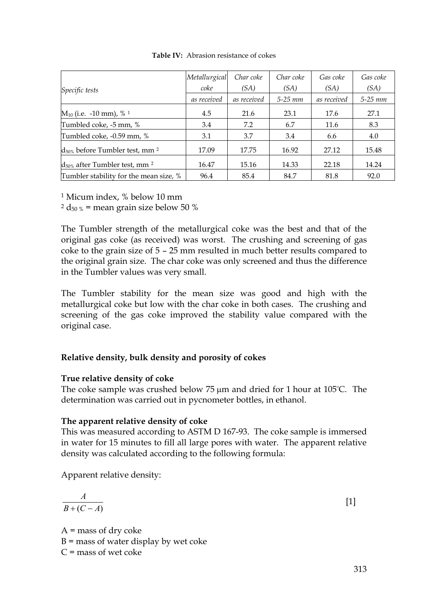|                                                 | Metallurgical<br>coke | Char coke<br>(SA) | Char coke<br>(SA) | Gas coke<br>(SA) | Gas coke<br>(SA) |
|-------------------------------------------------|-----------------------|-------------------|-------------------|------------------|------------------|
| Specific tests                                  | as received           | as received       | $5-25$ mm         | as received      | $5-25$ $mm$      |
| $M_{10}$ (i.e. -10 mm), % <sup>1</sup>          | 4.5                   | 21.6              | 23.1              | 17.6             | 27.1             |
| Tumbled coke, -5 mm, %                          | 3.4                   | 7.2               | 6.7               | 11.6             | 8.3              |
| Tumbled coke, -0.59 mm, %                       | 3.1                   | 3.7               | 3.4               | 6.6              | 4.0              |
| $d_{50\%}$ before Tumbler test, mm <sup>2</sup> | 17.09                 | 17.75             | 16.92             | 27.12            | 15.48            |
| $d_{50\%}$ after Tumbler test, mm <sup>2</sup>  | 16.47                 | 15.16             | 14.33             | 22.18            | 14.24            |
| Tumbler stability for the mean size, %          | 96.4                  | 85.4              | 84.7              | 81.8             | 92.0             |

**Table IV:** Abrasion resistance of cokes

<sup>1</sup> Micum index, % below 10 mm

 $2 d_{50\%}$  = mean grain size below 50 %

The Tumbler strength of the metallurgical coke was the best and that of the original gas coke (as received) was worst. The crushing and screening of gas coke to the grain size of 5 – 25 mm resulted in much better results compared to the original grain size. The char coke was only screened and thus the difference in the Tumbler values was very small.

The Tumbler stability for the mean size was good and high with the metallurgical coke but low with the char coke in both cases. The crushing and screening of the gas coke improved the stability value compared with the original case.

## **Relative density, bulk density and porosity of cokes**

## **True relative density of coke**

The coke sample was crushed below  $75 \mu m$  and dried for 1 hour at  $105^{\circ}$ C. The determination was carried out in pycnometer bottles, in ethanol.

#### **The apparent relative density of coke**

This was measured according to ASTM D 167-93. The coke sample is immersed in water for 15 minutes to fill all large pores with water. The apparent relative density was calculated according to the following formula:

Apparent relative density:

$$
\frac{A}{B + (C - A)}\tag{1}
$$

 $A$  = mass of dry coke  $B$  = mass of water display by wet coke  $C$  = mass of wet coke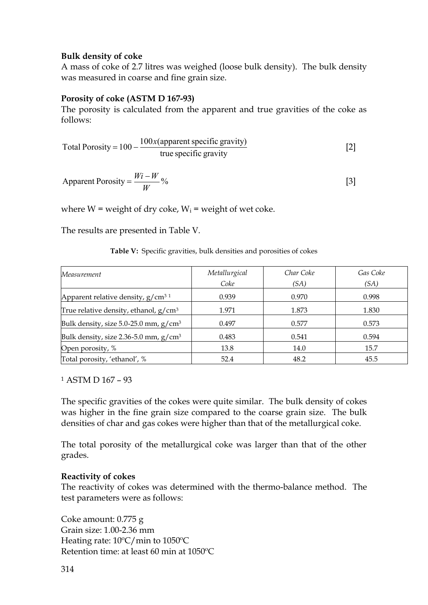#### **Bulk density of coke**

A mass of coke of 2.7 litres was weighed (loose bulk density). The bulk density was measured in coarse and fine grain size.

## **Porosity of coke (ASTM D 167-93)**

The porosity is calculated from the apparent and true gravities of the coke as follows:

Total Proosity = 
$$
100 - \frac{100x(\text{apparent specific gravity})}{\text{true specific gravity}}
$$
 [2]

$$
Apparent \, \text{Porosity} = \frac{Wi - W}{W} \, \% \tag{3}
$$

where  $W$  = weight of dry coke,  $W_i$  = weight of wet coke.

The results are presented in Table V.

#### **Table V:** Specific gravities, bulk densities and porosities of cokes

| Measurement                              | Metallurgical<br>Coke | Char Coke | Gas Coke |
|------------------------------------------|-----------------------|-----------|----------|
|                                          |                       | (SA)      | (SA)     |
| Apparent relative density, $g/cm31$      | 0.939                 | 0.970     | 0.998    |
| True relative density, ethanol, $g/cm^3$ | 1.971                 | 1.873     | 1.830    |
| Bulk density, size 5.0-25.0 mm, $g/cm^3$ | 0.497                 | 0.577     | 0.573    |
| Bulk density, size 2.36-5.0 mm, $g/cm^3$ | 0.483                 | 0.541     | 0.594    |
| Open porosity, %                         | 13.8                  | 14.0      | 15.7     |
| Total porosity, 'ethanol', %             | 52.4                  | 48.2      | 45.5     |

<sup>1</sup> ASTM D 167 – 93

The specific gravities of the cokes were quite similar. The bulk density of cokes was higher in the fine grain size compared to the coarse grain size. The bulk densities of char and gas cokes were higher than that of the metallurgical coke.

The total porosity of the metallurgical coke was larger than that of the other grades.

## **Reactivity of cokes**

The reactivity of cokes was determined with the thermo-balance method. The test parameters were as follows:

Coke amount: 0.775 g Grain size: 1.00-2.36 mm Heating rate: 10ºC/min to 1050ºC Retention time: at least 60 min at 1050ºC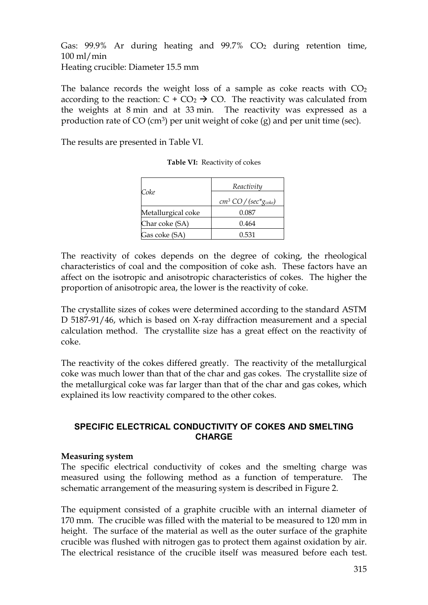Gas:  $99.9\%$  Ar during heating and  $99.7\%$  CO<sub>2</sub> during retention time, 100 ml/min Heating crucible: Diameter 15.5 mm

The balance records the weight loss of a sample as coke reacts with  $CO<sub>2</sub>$ according to the reaction:  $C + CO_2 \rightarrow CO$ . The reactivity was calculated from the weights at 8 min and at 33 min. The reactivity was expressed as a production rate of  $CO$  (cm<sup>3</sup>) per unit weight of coke (g) and per unit time (sec).

The results are presented in Table VI.

| Coke               | Reactivity                     |
|--------------------|--------------------------------|
|                    | $cm^3$ CO / (sec* $g_{coke}$ ) |
| Metallurgical coke | 0.087                          |
| Char coke (SA)     | 0.464                          |
| Gas coke (SA)      | 0.531                          |

**Table VI:** Reactivity of cokes

The reactivity of cokes depends on the degree of coking, the rheological characteristics of coal and the composition of coke ash. These factors have an affect on the isotropic and anisotropic characteristics of cokes. The higher the proportion of anisotropic area, the lower is the reactivity of coke.

The crystallite sizes of cokes were determined according to the standard ASTM D 5187-91/46, which is based on X-ray diffraction measurement and a special calculation method. The crystallite size has a great effect on the reactivity of coke.

The reactivity of the cokes differed greatly. The reactivity of the metallurgical coke was much lower than that of the char and gas cokes. The crystallite size of the metallurgical coke was far larger than that of the char and gas cokes, which explained its low reactivity compared to the other cokes.

## **SPECIFIC ELECTRICAL CONDUCTIVITY OF COKES AND SMELTING CHARGE**

#### **Measuring system**

The specific electrical conductivity of cokes and the smelting charge was measured using the following method as a function of temperature. The schematic arrangement of the measuring system is described in Figure 2.

The equipment consisted of a graphite crucible with an internal diameter of 170 mm. The crucible was filled with the material to be measured to 120 mm in height. The surface of the material as well as the outer surface of the graphite crucible was flushed with nitrogen gas to protect them against oxidation by air. The electrical resistance of the crucible itself was measured before each test.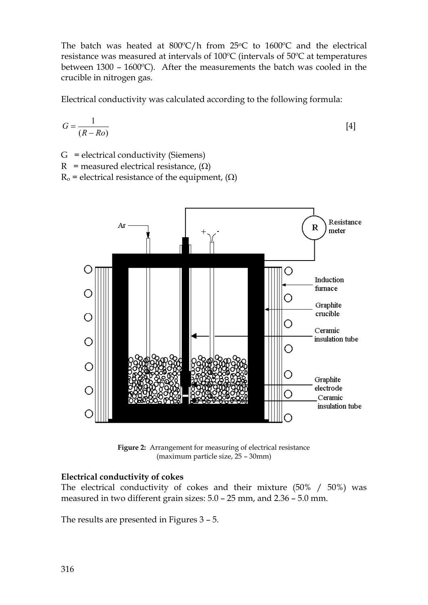The batch was heated at  $800^{\circ}$ C/h from 25 $^{\circ}$ C to 1600 $^{\circ}$ C and the electrical resistance was measured at intervals of 100ºC (intervals of 50ºC at temperatures between 1300 – 1600ºC). After the measurements the batch was cooled in the crucible in nitrogen gas.

Electrical conductivity was calculated according to the following formula:

$$
G = \frac{1}{(R - Ro)}\tag{4}
$$

G = electrical conductivity (Siemens)

R = measured electrical resistance,  $(\Omega)$ 

 $R_0$  = electrical resistance of the equipment,  $(\Omega)$ 



**Figure 2:** Arrangement for measuring of electrical resistance (maximum particle size, 25 – 30mm)

## **Electrical conductivity of cokes**

The electrical conductivity of cokes and their mixture (50% / 50%) was measured in two different grain sizes: 5.0 – 25 mm, and 2.36 – 5.0 mm.

The results are presented in Figures 3 – 5.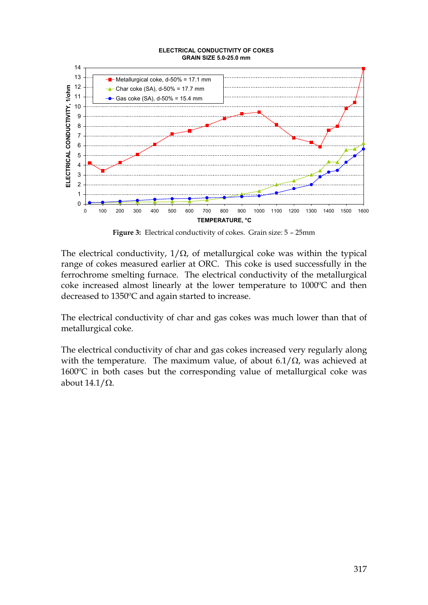

**Figure 3:** Electrical conductivity of cokes. Grain size: 5 – 25mm

The electrical conductivity,  $1/\Omega$ , of metallurgical coke was within the typical range of cokes measured earlier at ORC. This coke is used successfully in the ferrochrome smelting furnace. The electrical conductivity of the metallurgical coke increased almost linearly at the lower temperature to 1000ºC and then decreased to 1350ºC and again started to increase.

The electrical conductivity of char and gas cokes was much lower than that of metallurgical coke.

The electrical conductivity of char and gas cokes increased very regularly along with the temperature. The maximum value, of about  $6.1/\Omega$ , was achieved at 1600ºC in both cases but the corresponding value of metallurgical coke was about  $14.1/\Omega$ .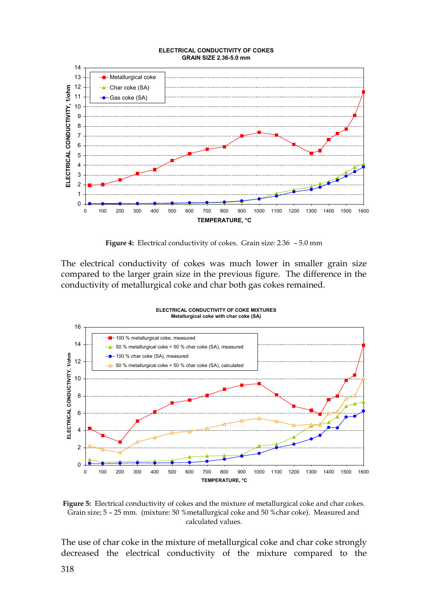

**Figure 4:** Electrical conductivity of cokes. Grain size: 2.36 – 5.0 mm

The electrical conductivity of cokes was much lower in smaller grain size compared to the larger grain size in the previous figure. The difference in the conductivity of metallurgical coke and char both gas cokes remained.



**Figure 5:** Electrical conductivity of cokes and the mixture of metallurgical coke and char cokes. Grain size; 5 – 25 mm. (mixture: 50 %metallurgical coke and 50 %char coke). Measured and calculated values.

The use of char coke in the mixture of metallurgical coke and char coke strongly decreased the electrical conductivity of the mixture compared to the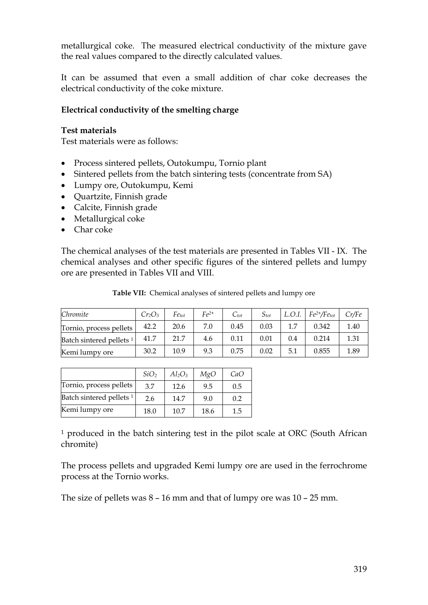metallurgical coke. The measured electrical conductivity of the mixture gave the real values compared to the directly calculated values.

It can be assumed that even a small addition of char coke decreases the electrical conductivity of the coke mixture.

#### **Electrical conductivity of the smelting charge**

#### **Test materials**

Test materials were as follows:

- · Process sintered pellets, Outokumpu, Tornio plant
- · Sintered pellets from the batch sintering tests (concentrate from SA)
- · Lumpy ore, Outokumpu, Kemi
- · Quartzite, Finnish grade
- · Calcite, Finnish grade
- Metallurgical coke
- Char coke

The chemical analyses of the test materials are presented in Tables VII - IX. The chemical analyses and other specific figures of the sintered pellets and lumpy ore are presented in Tables VII and VIII.

| Chromite                 | $Cr_2O_3$ | $Fe_{tot}$ | $Fe2+$ | $C_{tot}$ | $S_{tot}$ | L.O.I. | $Fe^{2+}/Fe_{tot}$ | Cr/Fe |
|--------------------------|-----------|------------|--------|-----------|-----------|--------|--------------------|-------|
| Tornio, process pellets  | 42.2      | 20.6       |        | 0.45      | 0.03      |        | 0.342              | 1.40  |
| Batch sintered pellets 1 | 41.7      | 21.7       | 4.6    | 0.11      | 0.01      | 0.4    | 0.214              | 1.31  |

Kemi lumpy ore 30.2 10.9 9.3 0.75 0.02 5.1 0.855 1.89

**Table VII:** Chemical analyses of sintered pellets and lumpy ore

|                                     | SiO <sub>2</sub> | $Al_2O_3$ | MgO  | CaO |
|-------------------------------------|------------------|-----------|------|-----|
| Tornio, process pellets             | 3.7              | 12.6      | 9.5  | 0.5 |
| Batch sintered pellets <sup>1</sup> | 2.6              | 14.7      | 9.0  | 0.2 |
| Kemi lumpy ore                      | 18.0             | 10.7      | 18.6 | 1.5 |

<sup>1</sup> produced in the batch sintering test in the pilot scale at ORC (South African chromite)

The process pellets and upgraded Kemi lumpy ore are used in the ferrochrome process at the Tornio works.

The size of pellets was 8 – 16 mm and that of lumpy ore was 10 – 25 mm.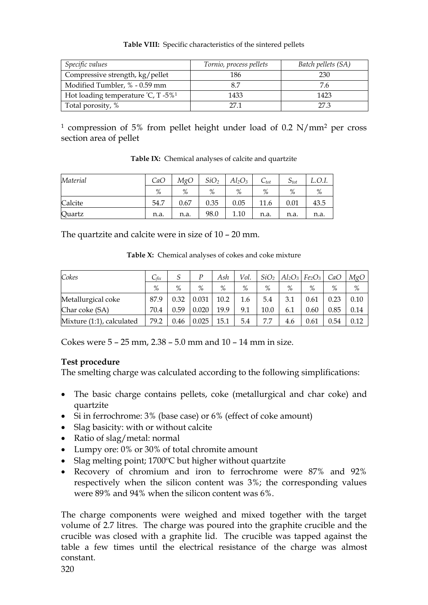#### **Table VIII:** Specific characteristics of the sintered pellets

| Specific values                                   | Tornio, process pellets | Batch pellets (SA) |
|---------------------------------------------------|-------------------------|--------------------|
| Compressive strength, kg/pellet                   | 186                     | 230                |
| Modified Tumbler, % - 0.59 mm                     | 8.7                     | 7.6                |
| Hot loading temperature $°C$ , T -5% <sup>1</sup> | 1433                    | 1423               |
| Total porosity, %                                 | 271                     | 27.3               |

<sup>1</sup> compression of 5% from pellet height under load of 0.2 N/mm<sup>2</sup> per cross section area of pellet

| Material | CaO  | MgO  | SiO <sub>2</sub> | $Al_2O_3$ | $C_{tot}$ | $5_{tot}$ | L.O.I. |
|----------|------|------|------------------|-----------|-----------|-----------|--------|
|          | %    | %    | %                | %         | %         | %         | %      |
| Calcite  | 54.7 | 0.67 | 0.35             | 0.05      | 11.6      | 0.01      | 43.5   |
| Quartz   | n.a. | n.a. | 98.0             | 1.10      | n.a.      | n.a.      | n.a.   |

**Table IX:** Chemical analyses of calcite and quartzite

The quartzite and calcite were in size of 10 – 20 mm.

**Table X:** Chemical analyses of cokes and coke mixture

| Cokes                     | $\mathsf{L}_{\textit{fix}}$ | J    | P     | Ash  | Vol. | SiO <sub>2</sub> |     | $Al_2O_3$ $Fe_2O_3$ | CaO  | MgO  |
|---------------------------|-----------------------------|------|-------|------|------|------------------|-----|---------------------|------|------|
|                           | $\%$                        | %    | %     | %    | %    | %                | %   | %                   | %    | %    |
| Metallurgical coke        | 87.9                        | 0.32 | 0.031 | 10.2 | 1.6  | 5.4              | 3.1 | 0.61                | 0.23 | 0.10 |
| Char coke (SA)            | 70.4                        | 0.59 | 0.020 | 19.9 | 9.1  | 10.0             | 6.1 | 0.60                | 0.85 | 0.14 |
| Mixture (1:1), calculated | 79.2                        | 0.46 | 0.025 | 15.1 | 5.4  | 7.7              | 4.6 | 0.61                | 0.54 | 0.12 |

Cokes were 5 – 25 mm, 2.38 – 5.0 mm and 10 – 14 mm in size.

## **Test procedure**

The smelting charge was calculated according to the following simplifications:

- · The basic charge contains pellets, coke (metallurgical and char coke) and quartzite
- Si in ferrochrome: 3% (base case) or 6% (effect of coke amount)
- · Slag basicity: with or without calcite
- Ratio of slag/metal: normal
- · Lumpy ore: 0% or 30% of total chromite amount
- Slag melting point; 1700°C but higher without quartzite
- · Recovery of chromium and iron to ferrochrome were 87% and 92% respectively when the silicon content was 3%; the corresponding values were 89% and 94% when the silicon content was 6%.

The charge components were weighed and mixed together with the target volume of 2.7 litres. The charge was poured into the graphite crucible and the crucible was closed with a graphite lid. The crucible was tapped against the table a few times until the electrical resistance of the charge was almost constant.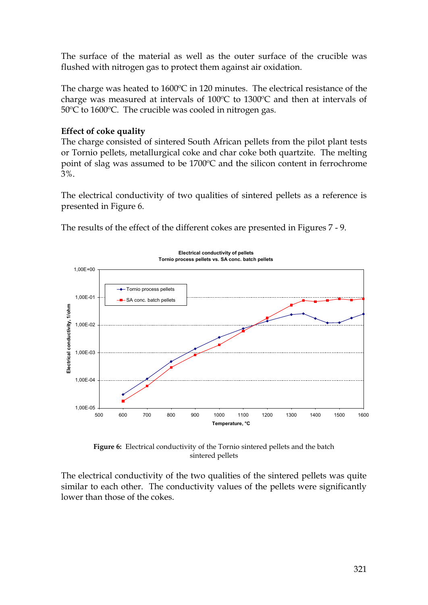The surface of the material as well as the outer surface of the crucible was flushed with nitrogen gas to protect them against air oxidation.

The charge was heated to 1600ºC in 120 minutes. The electrical resistance of the charge was measured at intervals of 100ºC to 1300ºC and then at intervals of 50ºC to 1600ºC. The crucible was cooled in nitrogen gas.

## **Effect of coke quality**

The charge consisted of sintered South African pellets from the pilot plant tests or Tornio pellets, metallurgical coke and char coke both quartzite. The melting point of slag was assumed to be 1700ºC and the silicon content in ferrochrome 3%.

The electrical conductivity of two qualities of sintered pellets as a reference is presented in Figure 6.

The results of the effect of the different cokes are presented in Figures 7 - 9.



**Figure 6:** Electrical conductivity of the Tornio sintered pellets and the batch sintered pellets

The electrical conductivity of the two qualities of the sintered pellets was quite similar to each other. The conductivity values of the pellets were significantly lower than those of the cokes.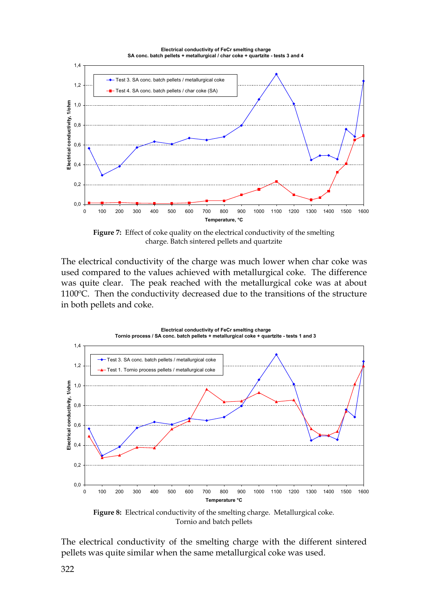

Figure 7: Effect of coke quality on the electrical conductivity of the smelting charge. Batch sintered pellets and quartzite

The electrical conductivity of the charge was much lower when char coke was used compared to the values achieved with metallurgical coke. The difference was quite clear. The peak reached with the metallurgical coke was at about 1100ºC. Then the conductivity decreased due to the transitions of the structure in both pellets and coke.



**Figure 8:** Electrical conductivity of the smelting charge. Metallurgical coke. Tornio and batch pellets

The electrical conductivity of the smelting charge with the different sintered pellets was quite similar when the same metallurgical coke was used.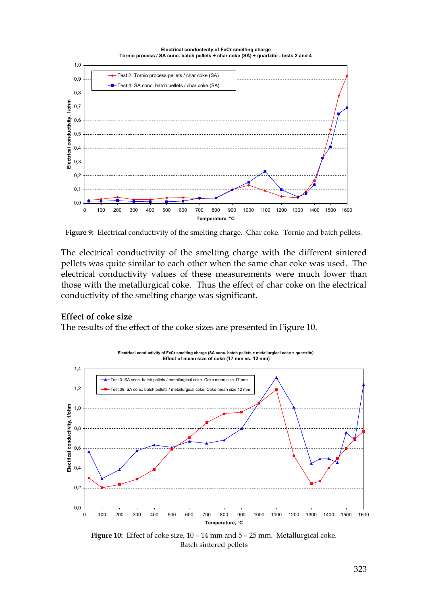

**Figure 9:** Electrical conductivity of the smelting charge. Char coke. Tornio and batch pellets.

The electrical conductivity of the smelting charge with the different sintered pellets was quite similar to each other when the same char coke was used. The electrical conductivity values of these measurements were much lower than those with the metallurgical coke. Thus the effect of char coke on the electrical conductivity of the smelting charge was significant.

#### **Effect of coke size**

The results of the effect of the coke sizes are presented in Figure 10.



**Figure 10:** Effect of coke size, 10 – 14 mm and 5 – 25 mm. Metallurgical coke. Batch sintered pellets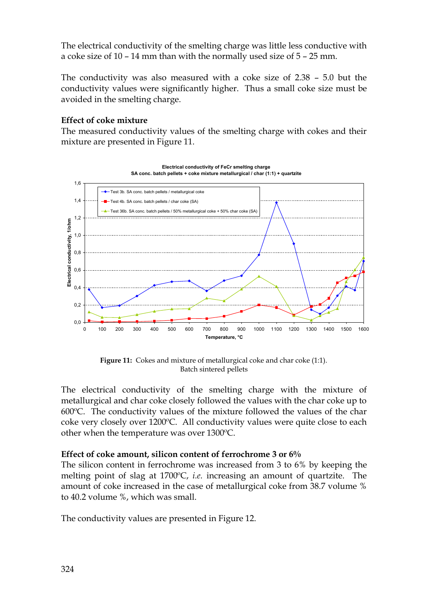The electrical conductivity of the smelting charge was little less conductive with a coke size of 10 – 14 mm than with the normally used size of 5 – 25 mm.

The conductivity was also measured with a coke size of 2.38 – 5.0 but the conductivity values were significantly higher. Thus a small coke size must be avoided in the smelting charge.

## **Effect of coke mixture**

The measured conductivity values of the smelting charge with cokes and their mixture are presented in Figure 11.



**Figure 11:** Cokes and mixture of metallurgical coke and char coke (1:1). Batch sintered pellets

The electrical conductivity of the smelting charge with the mixture of metallurgical and char coke closely followed the values with the char coke up to 600ºC. The conductivity values of the mixture followed the values of the char coke very closely over 1200ºC. All conductivity values were quite close to each other when the temperature was over 1300ºC.

## **Effect of coke amount, silicon content of ferrochrome 3 or 6%**

The silicon content in ferrochrome was increased from 3 to 6% by keeping the melting point of slag at 1700ºC, *i.e.* increasing an amount of quartzite. The amount of coke increased in the case of metallurgical coke from 38.7 volume % to 40.2 volume %, which was small.

The conductivity values are presented in Figure 12.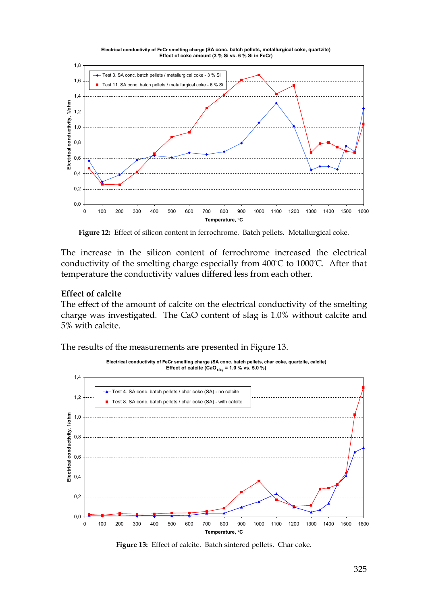

**Figure 12:** Effect of silicon content in ferrochrome. Batch pellets. Metallurgical coke.

The increase in the silicon content of ferrochrome increased the electrical conductivity of the smelting charge especially from 400ºC to 1000ºC. After that temperature the conductivity values differed less from each other.

#### **Effect of calcite**

The effect of the amount of calcite on the electrical conductivity of the smelting charge was investigated. The CaO content of slag is 1.0% without calcite and 5% with calcite.

The results of the measurements are presented in Figure 13.



**Figure 13:** Effect of calcite. Batch sintered pellets. Char coke.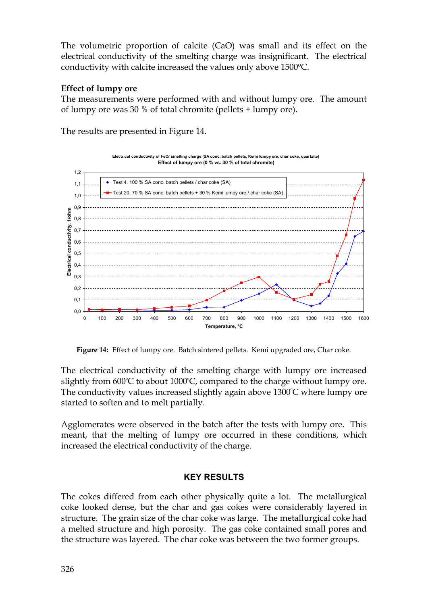The volumetric proportion of calcite (CaO) was small and its effect on the electrical conductivity of the smelting charge was insignificant. The electrical conductivity with calcite increased the values only above 1500ºC.

## **Effect of lumpy ore**

The measurements were performed with and without lumpy ore. The amount of lumpy ore was 30 % of total chromite (pellets + lumpy ore).

The results are presented in Figure 14.



**Figure 14:** Effect of lumpy ore. Batch sintered pellets. Kemi upgraded ore, Char coke.

The electrical conductivity of the smelting charge with lumpy ore increased slightly from 600ºC to about 1000ºC, compared to the charge without lumpy ore. The conductivity values increased slightly again above 1300ºC where lumpy ore started to soften and to melt partially.

Agglomerates were observed in the batch after the tests with lumpy ore. This meant, that the melting of lumpy ore occurred in these conditions, which increased the electrical conductivity of the charge.

## **KEY RESULTS**

The cokes differed from each other physically quite a lot. The metallurgical coke looked dense, but the char and gas cokes were considerably layered in structure. The grain size of the char coke was large. The metallurgical coke had a melted structure and high porosity. The gas coke contained small pores and the structure was layered. The char coke was between the two former groups.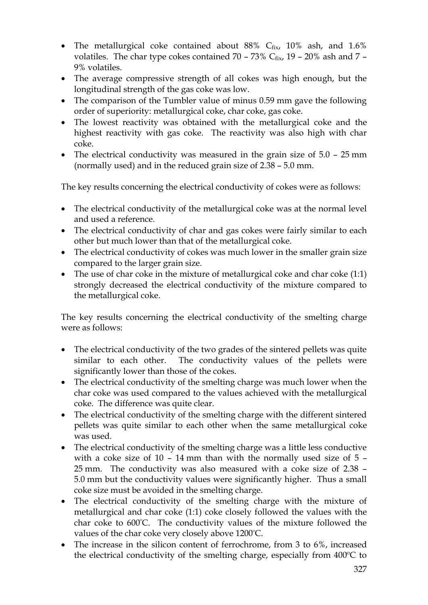- The metallurgical coke contained about  $88\%$  C $f_{fix}$ ,  $10\%$  ash, and  $1.6\%$ volatiles. The char type cokes contained  $70 - 73\%$  C<sub>fix</sub>,  $19 - 20\%$  ash and  $7 -$ 9% volatiles.
- · The average compressive strength of all cokes was high enough, but the longitudinal strength of the gas coke was low.
- The comparison of the Tumbler value of minus 0.59 mm gave the following order of superiority: metallurgical coke, char coke, gas coke.
- · The lowest reactivity was obtained with the metallurgical coke and the highest reactivity with gas coke. The reactivity was also high with char coke.
- The electrical conductivity was measured in the grain size of  $5.0 25$  mm (normally used) and in the reduced grain size of 2.38 – 5.0 mm.

The key results concerning the electrical conductivity of cokes were as follows:

- The electrical conductivity of the metallurgical coke was at the normal level and used a reference.
- The electrical conductivity of char and gas cokes were fairly similar to each other but much lower than that of the metallurgical coke.
- The electrical conductivity of cokes was much lower in the smaller grain size compared to the larger grain size.
- The use of char coke in the mixture of metallurgical coke and char coke (1:1) strongly decreased the electrical conductivity of the mixture compared to the metallurgical coke.

The key results concerning the electrical conductivity of the smelting charge were as follows:

- · The electrical conductivity of the two grades of the sintered pellets was quite similar to each other. The conductivity values of the pellets were significantly lower than those of the cokes.
- · The electrical conductivity of the smelting charge was much lower when the char coke was used compared to the values achieved with the metallurgical coke. The difference was quite clear.
- · The electrical conductivity of the smelting charge with the different sintered pellets was quite similar to each other when the same metallurgical coke was used.
- · The electrical conductivity of the smelting charge was a little less conductive with a coke size of 10 – 14 mm than with the normally used size of 5 – 25 mm. The conductivity was also measured with a coke size of 2.38 – 5.0 mm but the conductivity values were significantly higher. Thus a small coke size must be avoided in the smelting charge.
- · The electrical conductivity of the smelting charge with the mixture of metallurgical and char coke (1:1) coke closely followed the values with the char coke to 600ºC. The conductivity values of the mixture followed the values of the char coke very closely above 1200ºC.
- The increase in the silicon content of ferrochrome, from 3 to 6%, increased the electrical conductivity of the smelting charge, especially from 400ºC to